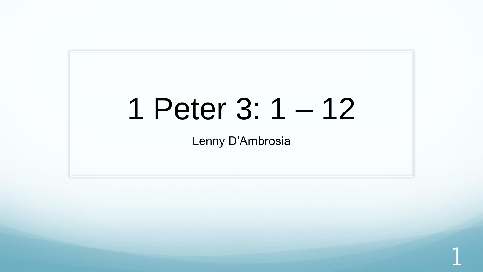# 1 Peter 3: 1 – 12

Lenny D'Ambrosia

1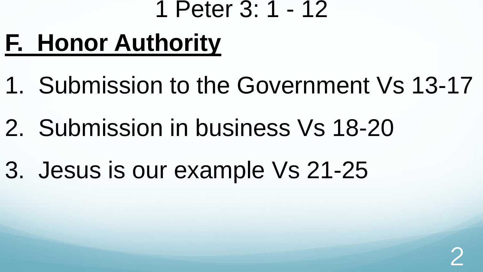### 1 Peter 3: 1 - 12

# **F. Honor Authority**

- 1. Submission to the Government Vs 13-17
- 2. Submission in business Vs 18-20
- 3. Jesus is our example Vs 21-25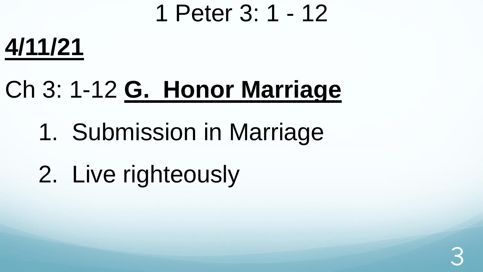### 1 Peter 3: 1 - 12

### **4/11/21**

# Ch 3: 1-12 **G. Honor Marriage**

### 1. Submission in Marriage

# 2. Live righteously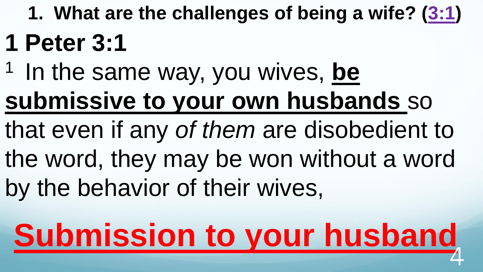**1. What are the challenges of being a wife? ([3:1\)](http://www.crossbooks.com/verse.asp?ref=1Pe+3%3A1)**

### **1 Peter 3:1**

- <sup>1</sup> In the same way, you wives, be **submissive to your own husbands** so
- that even if any *of them* are disobedient to the word, they may be won without a word
- by the behavior of their wives,

### **Submission to your husband**  $\overline{4}$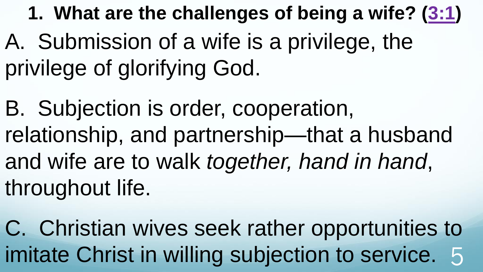**1. What are the challenges of being a wife? ([3:1\)](http://www.crossbooks.com/verse.asp?ref=1Pe+3%3A1)** A. Submission of a wife is a privilege, the privilege of glorifying God.

B. Subjection is order, cooperation, relationship, and partnership—that a husband and wife are to walk *together, hand in hand*, throughout life.

C. Christian wives seek rather opportunities to imitate Christ in willing subjection to service. 5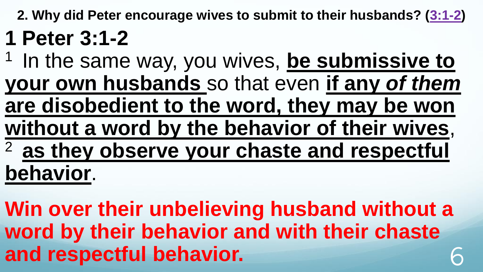**2. Why did Peter encourage wives to submit to their husbands? ([3:1-2\)](http://www.crossbooks.com/verse.asp?ref=1Pe+3%3A1-2)**

### **1 Peter 3:1-2**

<sup>1</sup> In the same way, you wives, **be submissive to your own husbands** so that even **if any** *of them* **are disobedient to the word, they may be won without a word by the behavior of their wives**, <sup>2</sup>**as they observe your chaste and respectful behavior**.

**Win over their unbelieving husband without a word by their behavior and with their chaste**  and respectful behavior.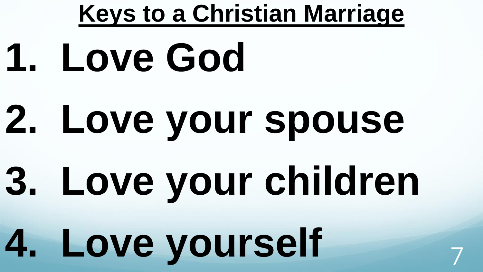# **Keys to a Christian Marriage 1. Love God 2. Love your spouse 3. Love your children 4. Love yourself** <sup>7</sup>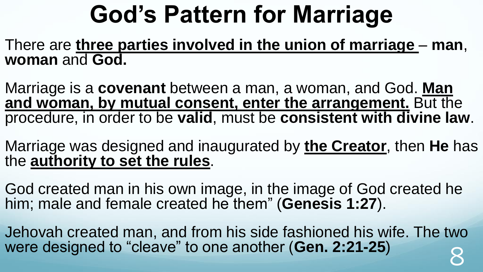# **God's Pattern for Marriage**

There are **three parties involved in the union of marriage** – **man**, **woman** and **God.**

Marriage is a **covenant** between a man, a woman, and God. **Man and woman, by mutual consent, enter the arrangement.** But the procedure, in order to be **valid**, must be **consistent with divine law**.

Marriage was designed and inaugurated by **the Creator**, then **He** has the **authority to set the rules**.

God created man in his own image, in the image of God created he him; male and female created he them" (**Genesis 1:27**).

Jehovah created man, and from his side fashioned his wife. The two were designed to "cleave" to one another (**Gen. 2:21-25**) 8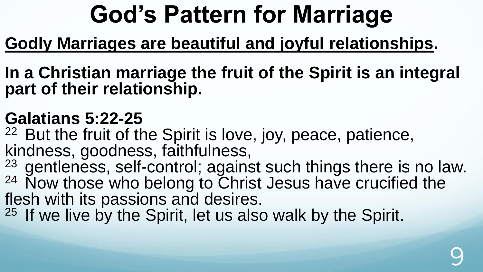# **God's Pattern for Marriage**

### **Godly Marriages are beautiful and joyful relationships.**

**In a Christian marriage the fruit of the Spirit is an integral part of their relationship.**

### **Galatians 5:22-25**

<sup>22</sup> But the fruit of the Spirit is love, joy, peace, patience, kindness, goodness, faithfulness,

 $23$  gentleness, self-control; against such things there is no law.  $24$  Now those who belong to Christ Jesus have crucified the flesh with its passions and desires.

<sup>25</sup> If we live by the Spirit, let us also walk by the Spirit.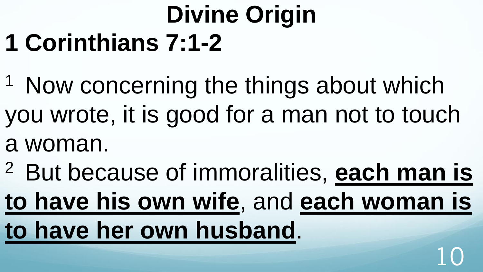### **Divine Origin 1 Corinthians 7:1-2**

- <sup>1</sup> Now concerning the things about which you wrote, it is good for a man not to touch
- a woman.
- <sup>2</sup> But because of immoralities, **each man is**
- **to have his own wife**, and **each woman is to have her own husband**.

10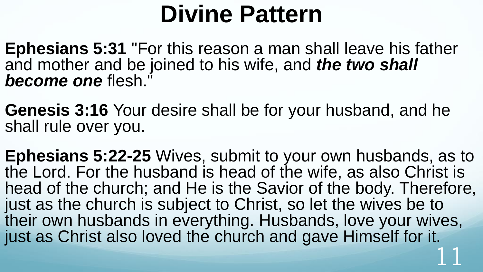### **Divine Pattern**

**Ephesians 5:31** "For this reason a man shall leave his father and mother and be joined to his wife, and *the two shall become one* flesh."

**Genesis 3:16** Your desire shall be for your husband, and he shall rule over you.

**Ephesians 5:22-25** Wives, submit to your own husbands, as to the Lord. For the husband is head of the wife, as also Christ is head of the church; and He is the Savior of the body. Therefore, just as the church is subject to Christ, so let the wives be to their own husbands in everything. Husbands, love your wives, just as Christ also loved the church and gave Himself for it. 11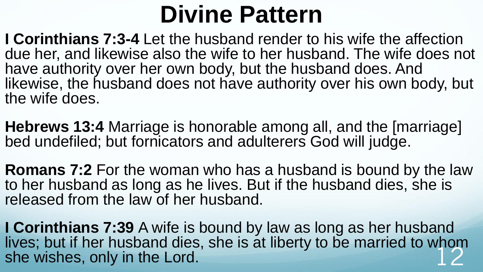### **Divine Pattern**

**I Corinthians 7:3-4** Let the husband render to his wife the affection due her, and likewise also the wife to her husband. The wife does not have authority over her own body, but the husband does. And likewise, the husband does not have authority over his own body, but the wife does.

**Hebrews 13:4** Marriage is honorable among all, and the [marriage] bed undefiled; but fornicators and adulterers God will judge.

**Romans 7:2** For the woman who has a husband is bound by the law to her husband as long as he lives. But if the husband dies, she is released from the law of her husband.

**I Corinthians 7:39** A wife is bound by law as long as her husband lives; but if her husband dies, she is at liberty to be married to whom she wishes, only in the Lord.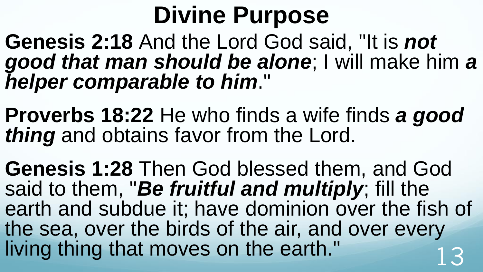### **Divine Purpose**

**Genesis 2:18** And the Lord God said, "It is *not good that man should be alone*; I will make him *a helper comparable to him*."

**Proverbs 18:22** He who finds a wife finds *a good thing* and obtains favor from the Lord.

**Genesis 1:28** Then God blessed them, and God said to them, "*Be fruitful and multiply*; fill the earth and subdue it; have dominion over the fish of the sea, over the birds of the air, and over every living thing that moves on the earth."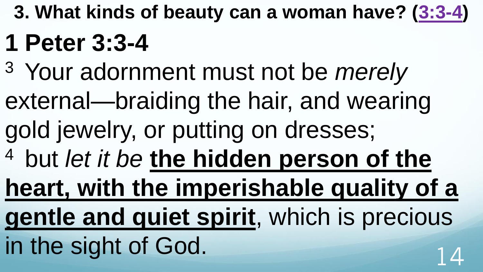**3. What kinds of beauty can a woman have? ([3:3-4\)](http://www.crossbooks.com/verse.asp?ref=1Pe+3%3A3-4)** 

### **1 Peter 3:3-4**

- <sup>3</sup>Your adornment must not be *merely*
- external—braiding the hair, and wearing
- gold jewelry, or putting on dresses;
- <sup>4</sup> but *let it be* the hidden person of the

**heart, with the imperishable quality of a** 

- **gentle and quiet spirit**, which is precious
- in the sight of God.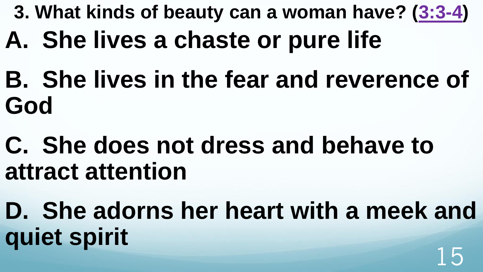- **3. What kinds of beauty can a woman have? ([3:3-4\)](http://www.crossbooks.com/verse.asp?ref=1Pe+3%3A3-4)**
- **A. She lives a chaste or pure life**
- **B. She lives in the fear and reverence of God**
- **C. She does not dress and behave to attract attention**
- **D. She adorns her heart with a meek and quiet spirit** 15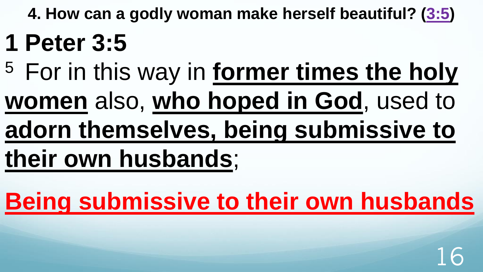**4. How can a godly woman make herself beautiful? ([3:5\)](http://www.crossbooks.com/verse.asp?ref=1Pe+3%3A5)**

### **1 Peter 3:5**

- <sup>5</sup>For in this way in **former times the holy**
- **women** also, **who hoped in God**, used to
- **adorn themselves, being submissive to**

# **their own husbands**;

**Being submissive to their own husbands**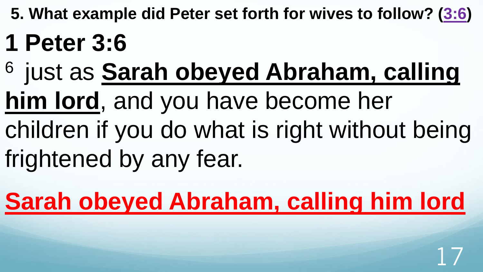**5. What example did Peter set forth for wives to follow? ([3:6\)](http://www.crossbooks.com/verse.asp?ref=1Pe+3%3A6)**

### **1 Peter 3:6**

- <sup>6</sup> just as **Sarah obeyed Abraham, calling**
- **him lord**, and you have become her
- children if you do what is right without being frightened by any fear.

**Sarah obeyed Abraham, calling him lord**

17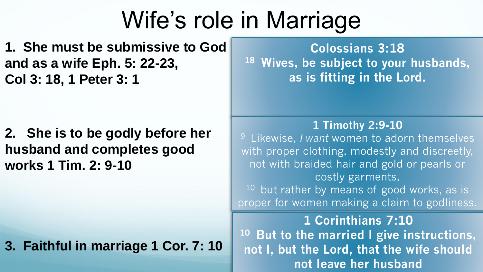**1. She must be submissive to God and as a wife Eph. 5: 22-23, Col 3: 18, 1 Peter 3: 1**

**2. She is to be godly before her husband and completes good works 1 Tim. 2: 9-10**

**3. Faithful in marriage 1 Cor. 7: 10** 

**Colossians 3:18 <sup>18</sup>Wives, be subject to your husbands, as is fitting in the Lord.** 

#### **1 Timothy 2:9-10**

<sup>9</sup>Likewise, *I want* women to adorn themselves with proper clothing, modestly and discreetly, not with braided hair and gold or pearls or costly garments,  $10$  but rather by means of good works, as is proper for women making a claim to godliness.

**1 Corinthians 7:10 <sup>10</sup>But to the married I give instructions, not I, but the Lord, that the wife should not leave her husband**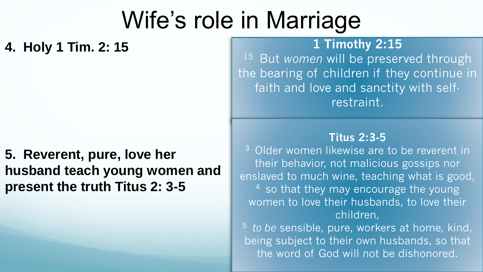**4. Holy 1 Tim. 2: 15**

### **5. Reverent, pure, love her husband teach young women and present the truth Titus 2: 3-5**

### **1 Timothy 2:15**

<sup>15</sup> But *women* will be preserved through the bearing of children if they continue in faith and love and sanctity with selfrestraint.

#### **Titus 2:3-5**

<sup>3</sup> Older women likewise are to be reverent in their behavior, not malicious gossips nor enslaved to much wine, teaching what is good,  $4$  so that they may encourage the young women to love their husbands, to love their children,

the word of God will not be dishonored. <sup>5</sup>*to be* sensible, pure, workers at home, kind, being subject to their own husbands, so that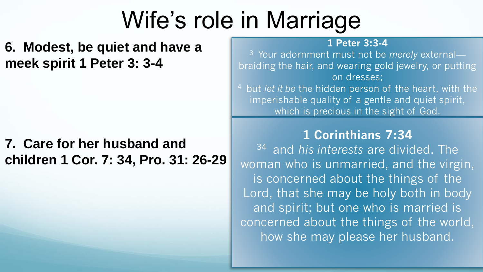**6. Modest, be quiet and have a meek spirit 1 Peter 3: 3-4** 

### **7. Care for her husband and children 1 Cor. 7: 34, Pro. 31: 26-29**

#### **1 Peter 3:3-4**

<sup>3</sup>Your adornment must not be *merely* external braiding the hair, and wearing gold jewelry, or putting on dresses;

<sup>4</sup> but *let it be* the hidden person of the heart, with the imperishable quality of a gentle and quiet spirit, which is precious in the sight of God.

### **1 Corinthians 7:34**

<sup>34</sup>and *his interests* are divided. The woman who is unmarried, and the virgin, is concerned about the things of the Lord, that she may be holy both in body and spirit; but one who is married is concerned about the things of the world, how she may please her husband.

20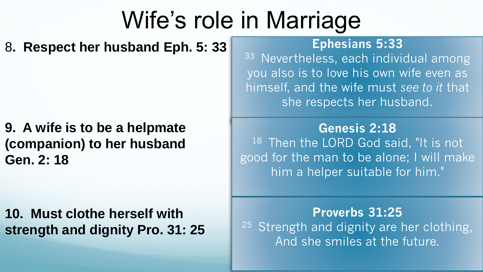8**. Respect her husband Eph. 5: 33**

**9. A wife is to be a helpmate (companion) to her husband Gen. 2: 18**

**10. Must clothe herself with strength and dignity Pro. 31: 25**

#### **Ephesians 5:33**

33 Nevertheless, each individual among you also is to love his own wife even as himself, and the wife must *see to it* that she respects her husband.

**Genesis 2:18**  $18$  Then the LORD God said, "It is not good for the man to be alone; I will make him a helper suitable for him."

**Proverbs 31:25**   $25$  Strength and dignity are her clothing, And she smiles at the future.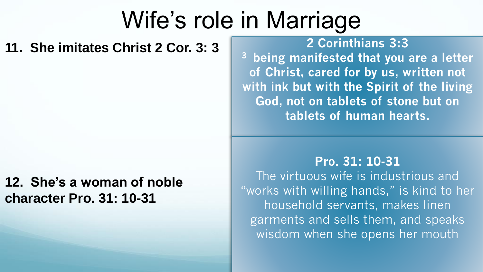#### **11. She imitates Christ 2 Cor. 3: 3**

### **12. She's a woman of noble character Pro. 31: 10-31**

**2 Corinthians 3:3** 

**<sup>3</sup>being manifested that you are a letter of Christ, cared for by us, written not with ink but with the Spirit of the living God, not on tablets of stone but on tablets of human hearts.** 

#### **Pro. 31: 10-31**

The virtuous wife is industrious and "works with willing hands," is kind to her household servants, makes linen garments and sells them, and speaks wisdom when she opens her mouth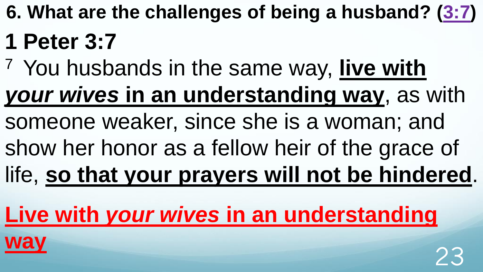**6. What are the challenges of being a husband? ([3:7](http://www.crossbooks.com/verse.asp?ref=1Pe+3%3A7))**

### **1 Peter 3:7**

- <sup>7</sup>You husbands in the same way, **live with**  *your wives* **in an understanding way**, as with someone weaker, since she is a woman; and
- show her honor as a fellow heir of the grace of
- life, **so that your prayers will not be hindered**.

### **Live with** *your wives* **in an understanding**

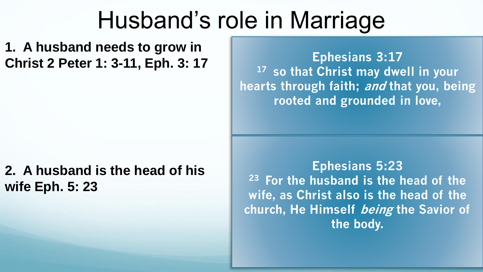**1. A husband needs to grow in Christ 2 Peter 1: 3-11, Eph. 3: 17** 

### **2. A husband is the head of his wife Eph. 5: 23**

**Ephesians 3:17 <sup>17</sup>so that Christ may dwell in your hearts through faith; and that you, being rooted and grounded in love,** 

**Ephesians 5:23 <sup>23</sup>For the husband is the head of the wife, as Christ also is the head of the church, He Himself being the Savior of the body.** 

24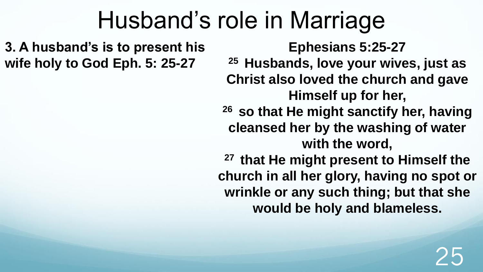**3. A husband's is to present his wife holy to God Eph. 5: 25-27**

**Ephesians 5:25-27**

**<sup>25</sup>Husbands, love your wives, just as Christ also loved the church and gave Himself up for her,** 

**<sup>26</sup>so that He might sanctify her, having cleansed her by the washing of water with the word,** 

**<sup>27</sup>that He might present to Himself the church in all her glory, having no spot or wrinkle or any such thing; but that she would be holy and blameless.**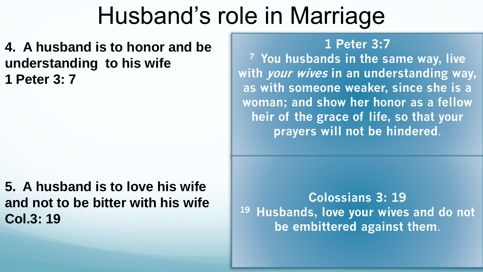**4. A husband is to honor and be understanding to his wife 1 Peter 3: 7**

**5. A husband is to love his wife and not to be bitter with his wife Col.3: 19**

#### **1 Peter 3:7**

**<sup>7</sup>You husbands in the same way, live with your wives in an understanding way, as with someone weaker, since she is a woman; and show her honor as a fellow heir of the grace of life, so that your prayers will not be hindered**.

**Colossians 3: 19 <sup>19</sup>Husbands, love your wives and do not be embittered against them**.

26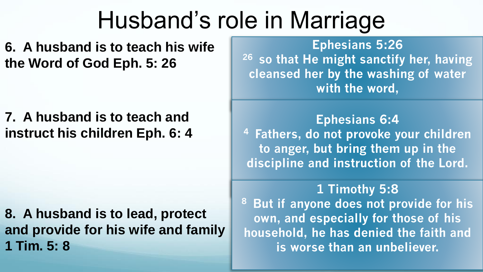**6. A husband is to teach his wife the Word of God Eph. 5: 26**

**7. A husband is to teach and instruct his children Eph. 6: 4**

**8. A husband is to lead, protect and provide for his wife and family** 

**Ephesians 5:26 <sup>26</sup>so that He might sanctify her, having cleansed her by the washing of water with the word,** 

**Ephesians 6:4 <sup>4</sup>Fathers, do not provoke your children to anger, but bring them up in the discipline and instruction of the Lord.** 

**1 Tim. 5: 8** 27 **is worse than an unbeliever. 1 Timothy 5:8 <sup>8</sup>But if anyone does not provide for his own, and especially for those of his household, he has denied the faith and**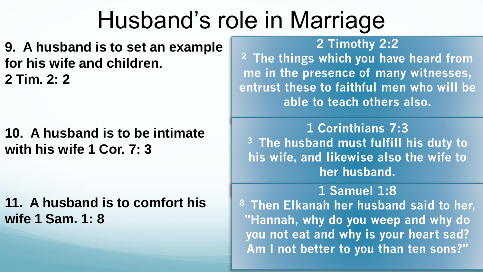**9. A husband is to set an example for his wife and children. 2 Tim. 2: 2**

**10. A husband is to be intimate with his wife 1 Cor. 7: 3**

**11. A husband is to comfort his wife 1 Sam. 1: 8**

**2 Timothy 2:2 <sup>2</sup>The things which you have heard from me in the presence of many witnesses, entrust these to faithful men who will be able to teach others also.** 

**1 Corinthians 7:3 <sup>3</sup>The husband must fulfill his duty to his wife, and likewise also the wife to her husband.** 

28 **Am I not better to you than ten sons?" 1 Samuel 1:8 <sup>8</sup>Then Elkanah her husband said to her, "Hannah, why do you weep and why do you not eat and why is your heart sad?**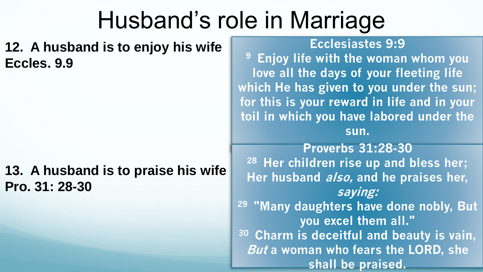**12. A husband is to enjoy his wife Eccles. 9.9**

### **13. A husband is to praise his wife Pro. 31: 28-30**

#### **Ecclesiastes 9:9**

**<sup>9</sup>Enjoy life with the woman whom you love all the days of your fleeting life which He has given to you under the sun; for this is your reward in life and in your toil in which you have labored under the sun.**

29 **But a woman who fears the LORD, she Proverbs 31:28-30 <sup>28</sup>Her children rise up and bless her; Her husband also, and he praises her, saying: <sup>29</sup>"Many daughters have done nobly, But you excel them all." <sup>30</sup>Charm is deceitful and beauty is vain, shall be praised.**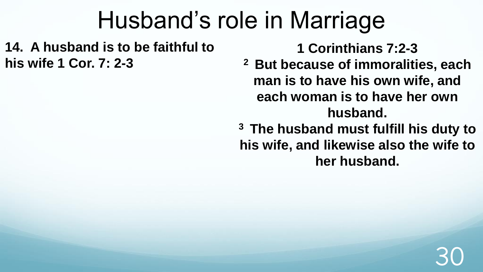**14. A husband is to be faithful to his wife 1 Cor. 7: 2-3**

**1 Corinthians 7:2-3** 

**<sup>2</sup>But because of immoralities, each man is to have his own wife, and each woman is to have her own husband.** 

**<sup>3</sup>The husband must fulfill his duty to his wife, and likewise also the wife to her husband.**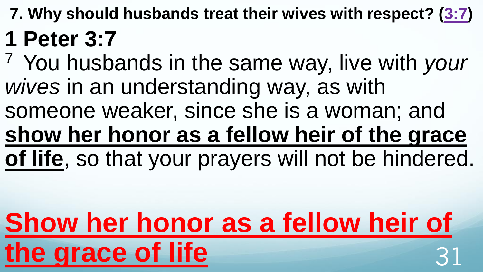- **7. Why should husbands treat their wives with respect? [\(3:7](http://www.crossbooks.com/verse.asp?ref=1Pe+3%3A7)) 1 Peter 3:7**
- <sup>7</sup>You husbands in the same way, live with *your wives* in an understanding way, as with someone weaker, since she is a woman; and **show her honor as a fellow heir of the grace of life**, so that your prayers will not be hindered.

# **Show her honor as a fellow heir of**  the grace of life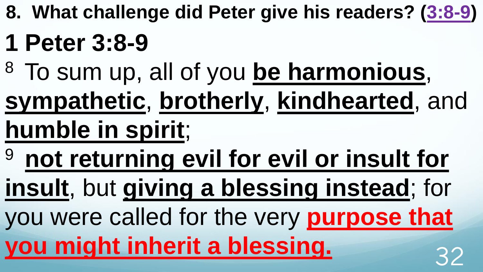**8. What challenge did Peter give his readers? ([3:8-9\)](http://www.crossbooks.com/verse.asp?ref=1Pe+3%3A8-9)**

### **1 Peter 3:8-9**

- <sup>8</sup>To sum up, all of you **be harmonious**,
- **sympathetic**, **brotherly**, **kindhearted**, and **humble in spirit**;
- <sup>9</sup>**not returning evil for evil or insult for**

**insult**, but **giving a blessing instead**; for

you were called for the very **purpose that you might inherit a blessing.** 22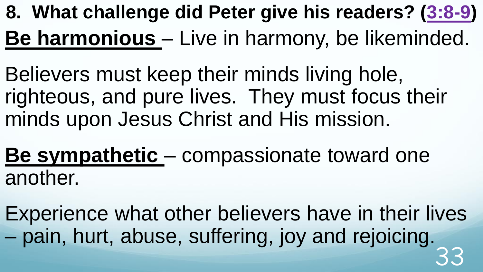**8. What challenge did Peter give his readers? ([3:8-9\)](http://www.crossbooks.com/verse.asp?ref=1Pe+3%3A8-9) Be harmonious** – Live in harmony, be likeminded.

Believers must keep their minds living hole, righteous, and pure lives. They must focus their minds upon Jesus Christ and His mission.

**Be sympathetic** – compassionate toward one another.

Experience what other believers have in their lives – pain, hurt, abuse, suffering, joy and rejoicing. 33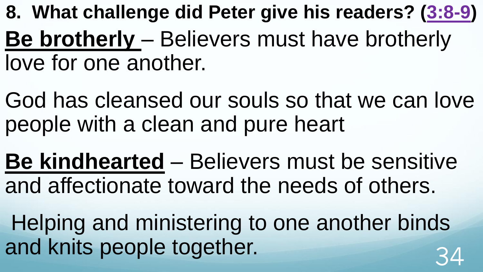- **8. What challenge did Peter give his readers? ([3:8-9\)](http://www.crossbooks.com/verse.asp?ref=1Pe+3%3A8-9) Be brotherly** – Believers must have brotherly love for one another.
- God has cleansed our souls so that we can love people with a clean and pure heart
- **Be kindhearted** Believers must be sensitive and affectionate toward the needs of others.
- Helping and ministering to one another binds and knits people together.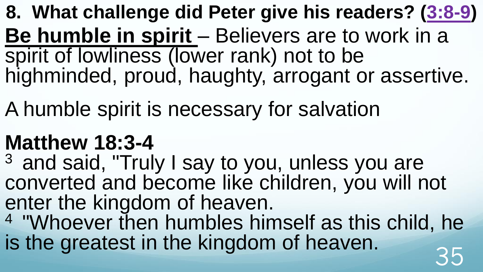**8. What challenge did Peter give his readers? ([3:8-9\)](http://www.crossbooks.com/verse.asp?ref=1Pe+3%3A8-9) Be humble in spirit** – Believers are to work in a spirit of lowliness (lower rank) not to be highminded, proud, haughty, arrogant or assertive.

A humble spirit is necessary for salvation

### **Matthew 18:3-4**

 $3$  and said, "Truly I say to you, unless you are converted and become like children, you will not enter the kingdom of heaven.

<sup>4</sup>"Whoever then humbles himself as this child, he is the greatest in the kingdom of heaven.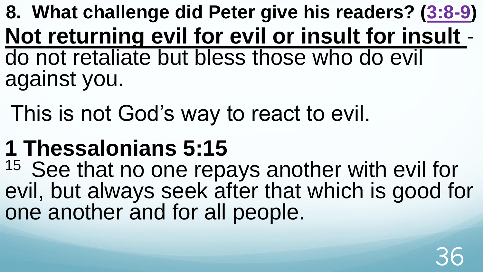**8. What challenge did Peter give his readers? ([3:8-9\)](http://www.crossbooks.com/verse.asp?ref=1Pe+3%3A8-9) Not returning evil for evil or insult for insult**  do not retaliate but bless those who do evil against you.

This is not God's way to react to evil.

### **1 Thessalonians 5:15**

<sup>15</sup> See that no one repays another with evil for evil, but always seek after that which is good for one another and for all people.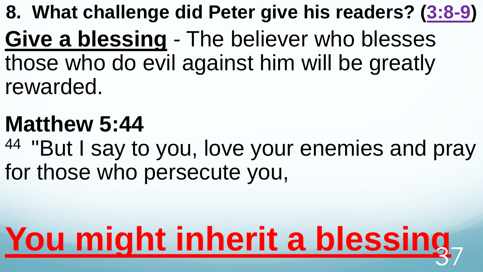**8. What challenge did Peter give his readers? ([3:8-9\)](http://www.crossbooks.com/verse.asp?ref=1Pe+3%3A8-9) Give a blessing** - The believer who blesses those who do evil against him will be greatly rewarded.

### **Matthew 5:44**

<sup>44</sup> "But I say to you, love your enemies and pray for those who persecute you,

# You might inherit a blessing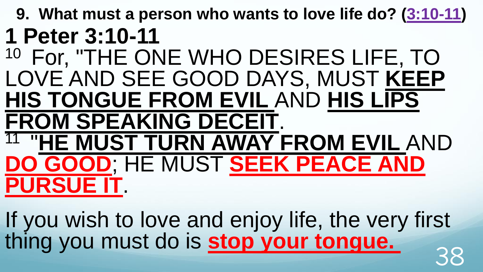**9. What must a person who wants to love life do? [\(3:10-11\)](http://www.crossbooks.com/verse.asp?ref=1Pe+3%3A10-11) 1 Peter 3:10-11**  <sup>10</sup> For, "THE ONE WHO DESIRES LIFE, TO LOVE AND SEE GOOD DAYS, MUST **KEEP HIS TONGUE FROM EVIL** AND **HIS LIPS FROM SPEAKING DECEIT**. 11 "**HE MUST TURN AWAY FROM EVIL** AND **DO GOOD**; HE MUST **SEEK PEACE AND PURSUE IT**.

If you wish to love and enjoy life, the very first thing you must do is <mark>stop your tongue.</mark> 38